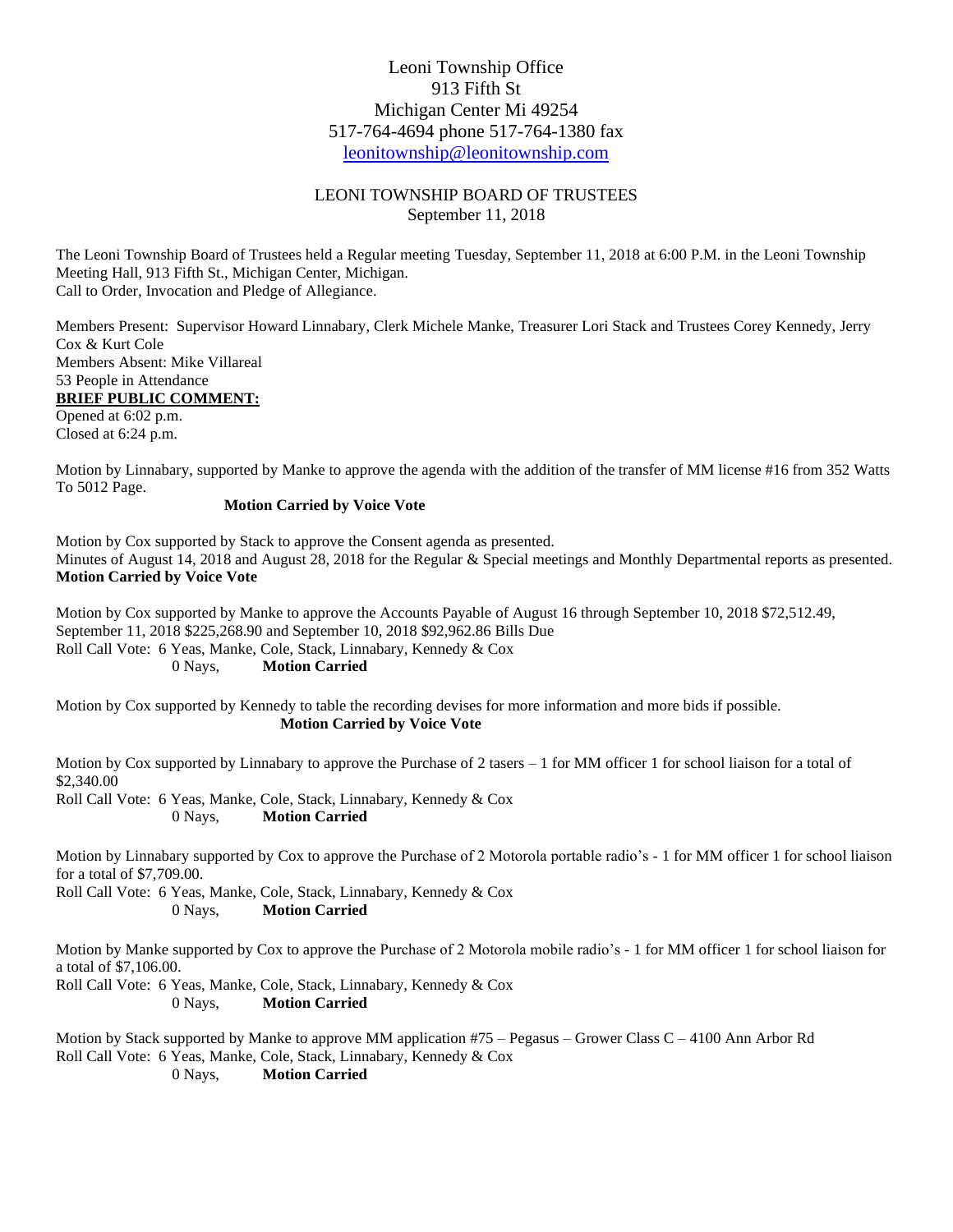## Leoni Township Office 913 Fifth St Michigan Center Mi 49254 517-764-4694 phone 517-764-1380 fax [leonitownship@leonitownship.com](mailto:leonitownship@leonitownship.com)

## LEONI TOWNSHIP BOARD OF TRUSTEES September 11, 2018

The Leoni Township Board of Trustees held a Regular meeting Tuesday, September 11, 2018 at 6:00 P.M. in the Leoni Township Meeting Hall, 913 Fifth St., Michigan Center, Michigan. Call to Order, Invocation and Pledge of Allegiance.

Members Present: Supervisor Howard Linnabary, Clerk Michele Manke, Treasurer Lori Stack and Trustees Corey Kennedy, Jerry Cox & Kurt Cole Members Absent: Mike Villareal 53 People in Attendance **BRIEF PUBLIC COMMENT:** Opened at 6:02 p.m.

Closed at 6:24 p.m.

Motion by Linnabary, supported by Manke to approve the agenda with the addition of the transfer of MM license #16 from 352 Watts To 5012 Page.

## **Motion Carried by Voice Vote**

Motion by Cox supported by Stack to approve the Consent agenda as presented. Minutes of August 14, 2018 and August 28, 2018 for the Regular & Special meetings and Monthly Departmental reports as presented. **Motion Carried by Voice Vote**

Motion by Cox supported by Manke to approve the Accounts Payable of August 16 through September 10, 2018 \$72,512.49, September 11, 2018 \$225,268.90 and September 10, 2018 \$92,962.86 Bills Due Roll Call Vote: 6 Yeas, Manke, Cole, Stack, Linnabary, Kennedy & Cox 0 Nays, **Motion Carried**

Motion by Cox supported by Kennedy to table the recording devises for more information and more bids if possible. **Motion Carried by Voice Vote**

Motion by Cox supported by Linnabary to approve the Purchase of 2 tasers  $-1$  for MM officer 1 for school liaison for a total of \$2,340.00

Roll Call Vote: 6 Yeas, Manke, Cole, Stack, Linnabary, Kennedy & Cox 0 Nays, **Motion Carried**

Motion by Linnabary supported by Cox to approve the Purchase of 2 Motorola portable radio's - 1 for MM officer 1 for school liaison for a total of \$7,709.00.

Roll Call Vote: 6 Yeas, Manke, Cole, Stack, Linnabary, Kennedy & Cox 0 Nays, **Motion Carried**

Motion by Manke supported by Cox to approve the Purchase of 2 Motorola mobile radio's - 1 for MM officer 1 for school liaison for a total of \$7,106.00.

Roll Call Vote: 6 Yeas, Manke, Cole, Stack, Linnabary, Kennedy & Cox 0 Nays, **Motion Carried**

Motion by Stack supported by Manke to approve MM application #75 – Pegasus – Grower Class C – 4100 Ann Arbor Rd Roll Call Vote: 6 Yeas, Manke, Cole, Stack, Linnabary, Kennedy & Cox

0 Nays, **Motion Carried**